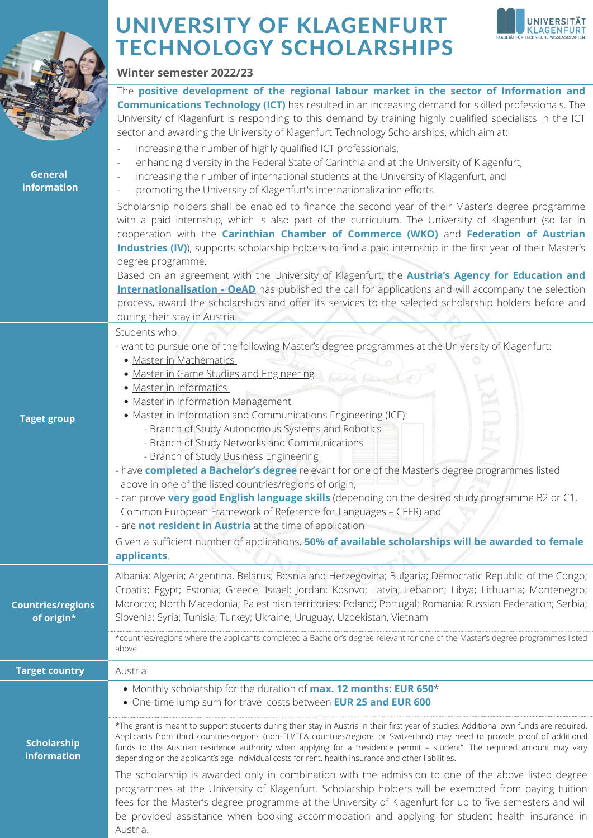

Austria.

## UNIVERSITY OF KLAGENFURT TECHNOLOGY SCHOLARSHIPS

**Winter semester 2022/23**



| <b>General</b><br>information          | The positive development of the regional labour market in the sector of Information and<br><b>Communications Technology (ICT)</b> has resulted in an increasing demand for skilled professionals. The<br>University of Klagenfurt is responding to this demand by training highly qualified specialists in the ICT<br>sector and awarding the University of Klagenfurt Technology Scholarships, which aim at:<br>increasing the number of highly qualified ICT professionals,<br>enhancing diversity in the Federal State of Carinthia and at the University of Klagenfurt,<br>increasing the number of international students at the University of Klagenfurt, and<br>promoting the University of Klagenfurt's internationalization efforts.                                                                                                                                                                                                                                                                                                                                      |
|----------------------------------------|------------------------------------------------------------------------------------------------------------------------------------------------------------------------------------------------------------------------------------------------------------------------------------------------------------------------------------------------------------------------------------------------------------------------------------------------------------------------------------------------------------------------------------------------------------------------------------------------------------------------------------------------------------------------------------------------------------------------------------------------------------------------------------------------------------------------------------------------------------------------------------------------------------------------------------------------------------------------------------------------------------------------------------------------------------------------------------|
|                                        | Scholarship holders shall be enabled to finance the second year of their Master's degree programme<br>with a paid internship, which is also part of the curriculum. The University of Klagenfurt (so far in<br>cooperation with the Carinthian Chamber of Commerce (WKO) and Federation of Austrian<br>Industries (IV)), supports scholarship holders to find a paid internship in the first year of their Master's<br>degree programme.<br>Based on an agreement with the University of Klagenfurt, the <b>Austria's Agency for Education and</b><br><b>Internationalisation - OeAD</b> has published the call for applications and will accompany the selection<br>process, award the scholarships and offer its services to the selected scholarship holders before and<br>during their stay in Austria.                                                                                                                                                                                                                                                                        |
| <b>Taget group</b>                     | Students who:<br>- want to pursue one of the following Master's degree programmes at the University of Klagenfurt:<br>· Master in Mathematics<br>• Master in Game Studies and Engineering<br>· Master in Informatics<br>· Master in Information Management<br>• Master in Information and Communications Engineering (ICE):<br>- Branch of Study Autonomous Systems and Robotics<br>- Branch of Study Networks and Communications<br>- Branch of Study Business Engineering<br>- have completed a Bachelor's degree relevant for one of the Master's degree programmes listed<br>above in one of the listed countries/regions of origin,<br>- can prove very good English language skills (depending on the desired study programme B2 or C1,<br>Common European Framework of Reference for Languages - CEFR) and<br>- are <b>not resident in Austria</b> at the time of application<br>Given a sufficient number of applications, 50% of available scholarships will be awarded to female<br>applicants.                                                                          |
| <b>Countries/regions</b><br>of origin* | Albania; Algeria; Argentina, Belarus; Bosnia and Herzegovina; Bulgaria; Democratic Republic of the Congo;<br>Croatia; Egypt; Estonia; Greece; Israel; Jordan; Kosovo; Latvia; Lebanon; Libya; Lithuania; Montenegro;<br>Morocco; North Macedonia; Palestinian territories; Poland; Portugal; Romania; Russian Federation; Serbia;<br>Slovenia; Syria; Tunisia; Turkey; Ukraine; Uruguay, Uzbekistan, Vietnam<br>*countries/regions where the applicants completed a Bachelor's degree relevant for one of the Master's degree programmes listed<br>above                                                                                                                                                                                                                                                                                                                                                                                                                                                                                                                           |
| <b>Target country</b>                  | Austria                                                                                                                                                                                                                                                                                                                                                                                                                                                                                                                                                                                                                                                                                                                                                                                                                                                                                                                                                                                                                                                                            |
| <b>Scholarship</b><br>information      | • Monthly scholarship for the duration of max. 12 months: EUR 650*<br>. One-time lump sum for travel costs between EUR 25 and EUR 600<br>*The grant is meant to support students during their stay in Austria in their first year of studies. Additional own funds are required.<br>Applicants from third countries/regions (non-EU/EEA countries/regions or Switzerland) may need to provide proof of additional<br>funds to the Austrian residence authority when applying for a "residence permit - student". The required amount may vary<br>depending on the applicant's age, individual costs for rent, health insurance and other liabilities.<br>The scholarship is awarded only in combination with the admission to one of the above listed degree<br>programmes at the University of Klagenfurt. Scholarship holders will be exempted from paying tuition<br>fees for the Master's degree programme at the University of Klagenfurt for up to five semesters and will<br>be provided assistance when booking accommodation and applying for student health insurance in |